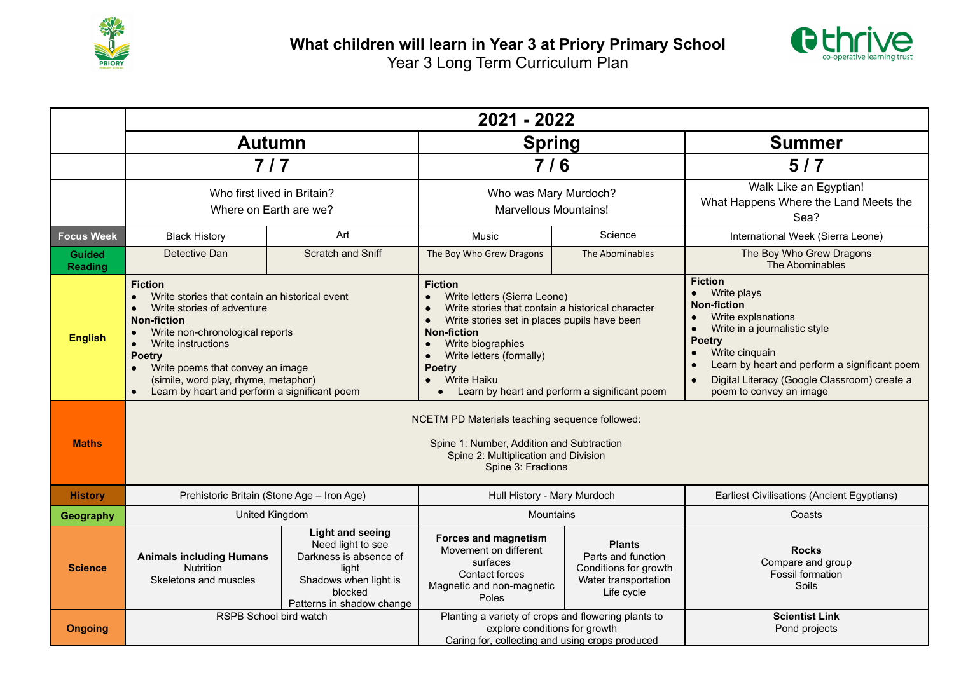



|                                 | 2021 - 2022                                                                                                                                                                                                                                                                                                                              |                                                                                                                                                  |                                                                                                                                                                                                                                                                                                                                                                                                                                |                                                                                                    |                                                                                                                                                                                                                                                                                                                                            |  |  |  |  |
|---------------------------------|------------------------------------------------------------------------------------------------------------------------------------------------------------------------------------------------------------------------------------------------------------------------------------------------------------------------------------------|--------------------------------------------------------------------------------------------------------------------------------------------------|--------------------------------------------------------------------------------------------------------------------------------------------------------------------------------------------------------------------------------------------------------------------------------------------------------------------------------------------------------------------------------------------------------------------------------|----------------------------------------------------------------------------------------------------|--------------------------------------------------------------------------------------------------------------------------------------------------------------------------------------------------------------------------------------------------------------------------------------------------------------------------------------------|--|--|--|--|
|                                 | <b>Autumn</b>                                                                                                                                                                                                                                                                                                                            |                                                                                                                                                  | <b>Spring</b>                                                                                                                                                                                                                                                                                                                                                                                                                  |                                                                                                    | <b>Summer</b>                                                                                                                                                                                                                                                                                                                              |  |  |  |  |
|                                 | 7/7                                                                                                                                                                                                                                                                                                                                      |                                                                                                                                                  | 7/6                                                                                                                                                                                                                                                                                                                                                                                                                            |                                                                                                    | 5/7                                                                                                                                                                                                                                                                                                                                        |  |  |  |  |
|                                 | Who first lived in Britain?<br>Where on Earth are we?                                                                                                                                                                                                                                                                                    |                                                                                                                                                  | Who was Mary Murdoch?<br><b>Marvellous Mountains!</b>                                                                                                                                                                                                                                                                                                                                                                          |                                                                                                    | Walk Like an Egyptian!<br>What Happens Where the Land Meets the<br>Sea?                                                                                                                                                                                                                                                                    |  |  |  |  |
| <b>Focus Week</b>               | <b>Black History</b>                                                                                                                                                                                                                                                                                                                     | Art                                                                                                                                              | Music                                                                                                                                                                                                                                                                                                                                                                                                                          | Science                                                                                            | International Week (Sierra Leone)                                                                                                                                                                                                                                                                                                          |  |  |  |  |
| <b>Guided</b><br><b>Reading</b> | Detective Dan                                                                                                                                                                                                                                                                                                                            | <b>Scratch and Sniff</b>                                                                                                                         | The Boy Who Grew Dragons                                                                                                                                                                                                                                                                                                                                                                                                       | The Abominables                                                                                    | The Boy Who Grew Dragons<br>The Abominables                                                                                                                                                                                                                                                                                                |  |  |  |  |
| <b>English</b><br><b>Maths</b>  | <b>Fiction</b><br>Write stories that contain an historical event<br>Write stories of adventure<br><b>Non-fiction</b><br>Write non-chronological reports<br>Write instructions<br>$\bullet$<br><b>Poetry</b><br>Write poems that convey an image<br>(simile, word play, rhyme, metaphor)<br>Learn by heart and perform a significant poem |                                                                                                                                                  | <b>Fiction</b><br>Write letters (Sierra Leone)<br>Write stories that contain a historical character<br>Write stories set in places pupils have been<br><b>Non-fiction</b><br>Write biographies<br>Write letters (formally)<br><b>Poetry</b><br><b>Write Haiku</b><br>Learn by heart and perform a significant poem<br>$\bullet$<br>NCETM PD Materials teaching sequence followed:<br>Spine 1: Number, Addition and Subtraction |                                                                                                    | <b>Fiction</b><br>Write plays<br>$\bullet$<br><b>Non-fiction</b><br>Write explanations<br>$\bullet$<br>Write in a journalistic style<br>$\bullet$<br><b>Poetry</b><br>Write cinquain<br>$\bullet$<br>Learn by heart and perform a significant poem<br>$\bullet$<br>Digital Literacy (Google Classroom) create a<br>poem to convey an image |  |  |  |  |
|                                 | Spine 2: Multiplication and Division<br>Spine 3: Fractions                                                                                                                                                                                                                                                                               |                                                                                                                                                  |                                                                                                                                                                                                                                                                                                                                                                                                                                |                                                                                                    |                                                                                                                                                                                                                                                                                                                                            |  |  |  |  |
| <b>History</b>                  | Prehistoric Britain (Stone Age - Iron Age)                                                                                                                                                                                                                                                                                               |                                                                                                                                                  | Hull History - Mary Murdoch                                                                                                                                                                                                                                                                                                                                                                                                    |                                                                                                    | Earliest Civilisations (Ancient Egyptians)                                                                                                                                                                                                                                                                                                 |  |  |  |  |
| Geography                       | United Kingdom                                                                                                                                                                                                                                                                                                                           |                                                                                                                                                  | <b>Mountains</b>                                                                                                                                                                                                                                                                                                                                                                                                               |                                                                                                    | Coasts                                                                                                                                                                                                                                                                                                                                     |  |  |  |  |
| <b>Science</b>                  | <b>Animals including Humans</b><br><b>Nutrition</b><br>Skeletons and muscles                                                                                                                                                                                                                                                             | <b>Light and seeing</b><br>Need light to see<br>Darkness is absence of<br>light<br>Shadows when light is<br>blocked<br>Patterns in shadow change | <b>Forces and magnetism</b><br>Movement on different<br>surfaces<br>Contact forces<br>Magnetic and non-magnetic<br>Poles                                                                                                                                                                                                                                                                                                       | <b>Plants</b><br>Parts and function<br>Conditions for growth<br>Water transportation<br>Life cycle | <b>Rocks</b><br>Compare and group<br><b>Fossil formation</b><br>Soils                                                                                                                                                                                                                                                                      |  |  |  |  |
| <b>Ongoing</b>                  | RSPB School bird watch                                                                                                                                                                                                                                                                                                                   |                                                                                                                                                  | Planting a variety of crops and flowering plants to<br>explore conditions for growth<br>Caring for, collecting and using crops produced                                                                                                                                                                                                                                                                                        |                                                                                                    | <b>Scientist Link</b><br>Pond projects                                                                                                                                                                                                                                                                                                     |  |  |  |  |